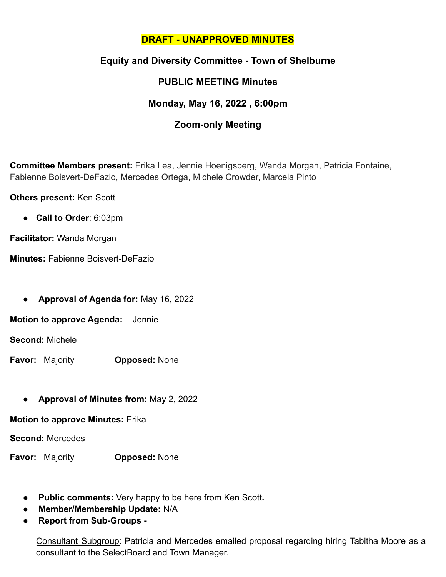### **DRAFT - UNAPPROVED MINUTES**

# **Equity and Diversity Committee - Town of Shelburne**

# **PUBLIC MEETING Minutes**

## **Monday, May 16, 2022 , 6:00pm**

### **Zoom-only Meeting**

**Committee Members present:** Erika Lea, Jennie Hoenigsberg, Wanda Morgan, Patricia Fontaine, Fabienne Boisvert-DeFazio, Mercedes Ortega, Michele Crowder, Marcela Pinto

**Others present:** Ken Scott

● **Call to Order**: 6:03pm

**Facilitator:** Wanda Morgan

**Minutes:** Fabienne Boisvert-DeFazio

● **Approval of Agenda for:** May 16, 2022

**Motion to approve Agenda:** Jennie

**Second:** Michele

**Favor:** Majority **Opposed:** None

● **Approval of Minutes from:** May 2, 2022

**Motion to approve Minutes:** Erika

**Second:** Mercedes

**Favor:** Majority **Opposed:** None

- **Public comments:** Very happy to be here from Ken Scott**.**
- **Member/Membership Update:** N/A
- **Report from Sub-Groups -**

Consultant Subgroup: Patricia and Mercedes emailed proposal regarding hiring Tabitha Moore as a consultant to the SelectBoard and Town Manager.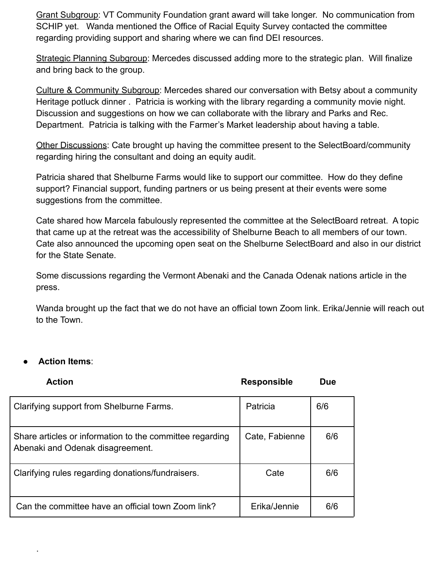Grant Subgroup: VT Community Foundation grant award will take longer. No communication from SCHIP yet. Wanda mentioned the Office of Racial Equity Survey contacted the committee regarding providing support and sharing where we can find DEI resources.

Strategic Planning Subgroup: Mercedes discussed adding more to the strategic plan. Will finalize and bring back to the group.

Culture & Community Subgroup: Mercedes shared our conversation with Betsy about a community Heritage potluck dinner . Patricia is working with the library regarding a community movie night. Discussion and suggestions on how we can collaborate with the library and Parks and Rec. Department. Patricia is talking with the Farmer's Market leadership about having a table.

Other Discussions: Cate brought up having the committee present to the SelectBoard/community regarding hiring the consultant and doing an equity audit.

Patricia shared that Shelburne Farms would like to support our committee. How do they define support? Financial support, funding partners or us being present at their events were some suggestions from the committee.

Cate shared how Marcela fabulously represented the committee at the SelectBoard retreat. A topic that came up at the retreat was the accessibility of Shelburne Beach to all members of our town. Cate also announced the upcoming open seat on the Shelburne SelectBoard and also in our district for the State Senate.

Some discussions regarding the Vermont Abenaki and the Canada Odenak nations article in the press.

Wanda brought up the fact that we do not have an official town Zoom link. Erika/Jennie will reach out to the Town.

#### ● **Action Items**:

·

| <b>Action</b>                                                                                | <b>Responsible</b> | <b>Due</b> |
|----------------------------------------------------------------------------------------------|--------------------|------------|
| Clarifying support from Shelburne Farms.                                                     | Patricia           | 6/6        |
| Share articles or information to the committee regarding<br>Abenaki and Odenak disagreement. | Cate, Fabienne     | 6/6        |
| Clarifying rules regarding donations/fundraisers.                                            | Cate               | 6/6        |
| Can the committee have an official town Zoom link?                                           | Erika/Jennie       | 6/6        |